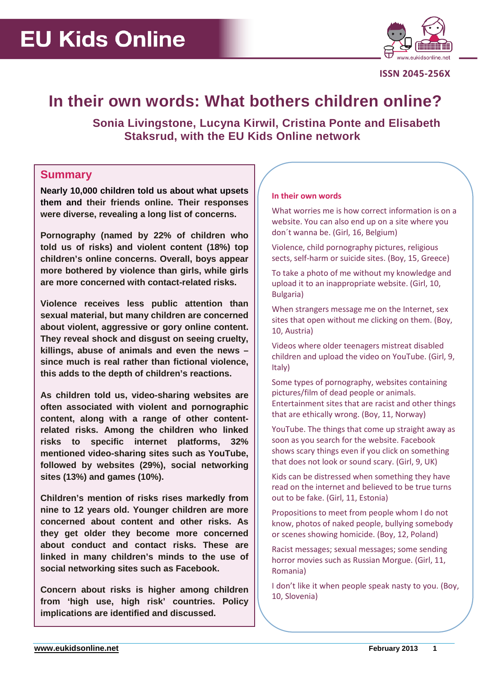

**ISSN 2045-256X**

# **In their own words: What bothers children online?**

 **Sonia Livingstone, Lucyna Kirwil, Cristina Ponte and Elisabeth Staksrud, with the EU Kids Online network** 

### **Summary**

**Nearly 10,000 children told us about what upsets them and their friends online. Their responses were diverse, revealing a long list of concerns.**

**Pornography (named by 22% of children who told us of risks) and violent content (18%) top children's online concerns. Overall, boys appear more bothered by violence than girls, while girls are more concerned with contact-related risks.**

**Violence receives less public attention than sexual material, but many children are concerned about violent, aggressive or gory online content. They reveal shock and disgust on seeing cruelty, killings, abuse of animals and even the news – since much is real rather than fictional violence, this adds to the depth of children's reactions.**

**As children told us, video-sharing websites are often associated with violent and pornographic content, along with a range of other contentrelated risks. Among the children who linked risks to specific internet platforms, 32% mentioned video-sharing sites such as YouTube, followed by websites (29%), social networking sites (13%) and games (10%).**

**Children's mention of risks rises markedly from nine to 12 years old. Younger children are more concerned about content and other risks. As they get older they become more concerned about conduct and contact risks. These are linked in many children's minds to the use of social networking sites such as Facebook.** 

**Concern about risks is higher among children from 'high use, high risk' countries. Policy implications are identified and discussed.**

### **In their own words**

What worries me is how correct information is on a website. You can also end up on a site where you don´t wanna be. (Girl, 16, Belgium)

Violence, child pornography pictures, religious sects, self-harm or suicide sites. (Boy, 15, Greece)

To take a photo of me without my knowledge and upload it to an inappropriate website. (Girl, 10, Bulgaria)

When strangers message me on the Internet, sex sites that open without me clicking on them. (Boy, 10, Austria)

Videos where older teenagers mistreat disabled children and upload the video on YouTube. (Girl, 9, Italy)

Some types of pornography, websites containing pictures/film of dead people or animals. Entertainment sites that are racist and other things that are ethically wrong. (Boy, 11, Norway)

YouTube. The things that come up straight away as soon as you search for the website. Facebook shows scary things even if you click on something that does not look or sound scary. (Girl, 9, UK)

Kids can be distressed when something they have read on the internet and believed to be true turns out to be fake. (Girl, 11, Estonia)

Propositions to meet from people whom I do not know, photos of naked people, bullying somebody or scenes showing homicide. (Boy, 12, Poland)

Racist messages; sexual messages; some sending horror movies such as Russian Morgue. (Girl, 11, Romania)

I don't like it when people speak nasty to you. (Boy, 10, Slovenia)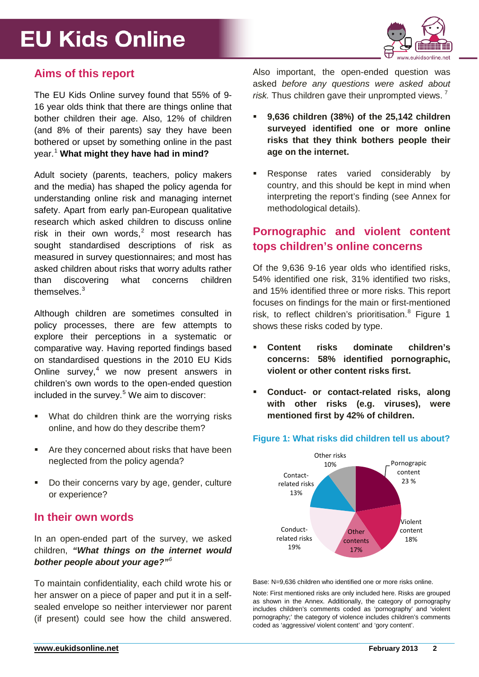

## **Aims of this report**

The EU Kids Online survey found that 55% of 9- 16 year olds think that there are things online that bother children their age. Also, 12% of children (and 8% of their parents) say they have been bothered or upset by something online in the past year.[1](#page-18-0) **What might they have had in mind?**

Adult society (parents, teachers, policy makers and the media) has shaped the policy agenda for understanding online risk and managing internet safety. Apart from early pan-European qualitative research which asked children to discuss online risk in their own words. $2$  most research has sought standardised descriptions of risk as measured in survey questionnaires; and most has asked children about risks that worry adults rather than discovering what concerns children themselves.[3](#page-18-2)

Although children are sometimes consulted in policy processes, there are few attempts to explore their perceptions in a systematic or comparative way. Having reported findings based on standardised questions in the 2010 EU Kids Online survey, $4$  we now present answers in children's own words to the open-ended question included in the survey.<sup>[5](#page-18-4)</sup> We aim to discover:

- **What do children think are the worrying risks** online, and how do they describe them?
- Are they concerned about risks that have been neglected from the policy agenda?
- Do their concerns vary by age, gender, culture or experience?

## **In their own words**

In an open-ended part of the survey, we asked children, *"What things on the internet would bother people about your age?"[6](#page-18-5)*

To maintain confidentiality, each child wrote his or her answer on a piece of paper and put it in a selfsealed envelope so neither interviewer nor parent (if present) could see how the child answered.

Also important, the open-ended question was asked *before any questions were asked about risk.* Thus children gave their unprompted views. [7](#page-19-0)

- **9,636 children (38%) of the 25,142 children surveyed identified one or more online risks that they think bothers people their age on the internet.**
- Response rates varied considerably by country, and this should be kept in mind when interpreting the report's finding (see Annex for methodological details).

## **Pornographic and violent content tops children's online concerns**

Of the 9,636 9-16 year olds who identified risks, 54% identified one risk, 31% identified two risks, and 15% identified three or more risks. This report focuses on findings for the main or first-mentioned risk, to reflect children's prioritisation. $8$  Figure 1 shows these risks coded by type.

- **Content risks dominate children's concerns: 58% identified pornographic, violent or other content risks first.**
- **Conduct- or contact-related risks, along with other risks (e.g. viruses), were mentioned first by 42% of children.**



**Figure 1: What risks did children tell us about?** 

Base: N=9,636 children who identified one or more risks online.

Note: First mentioned risks are only included here. Risks are grouped as shown in the Annex. Additionally, the category of pornography includes children's comments coded as 'pornography' and 'violent pornography;' the category of violence includes children's comments coded as 'aggressive/ violent content' and 'gory content'.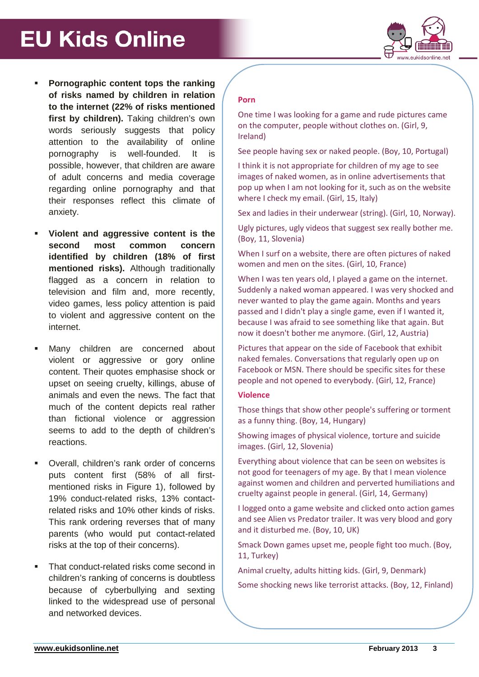

- **Pornographic content tops the ranking of risks named by children in relation to the internet (22% of risks mentioned**  first by children). Taking children's own words seriously suggests that policy attention to the availability of online pornography is well-founded. It is possible, however, that children are aware of adult concerns and media coverage regarding online pornography and that their responses reflect this climate of anxiety.
- **Violent and aggressive content is the second most common concern identified by children (18% of first mentioned risks).** Although traditionally flagged as a concern in relation to television and film and, more recently, video games, less policy attention is paid to violent and aggressive content on the internet.
- **Many children are concerned about** violent or aggressive or gory online content. Their quotes emphasise shock or upset on seeing cruelty, killings, abuse of animals and even the news. The fact that much of the content depicts real rather than fictional violence or aggression seems to add to the depth of children's reactions.
- Overall, children's rank order of concerns puts content first (58% of all firstmentioned risks in Figure 1), followed by 19% conduct-related risks, 13% contactrelated risks and 10% other kinds of risks. This rank ordering reverses that of many parents (who would put contact-related risks at the top of their concerns).
- That conduct-related risks come second in children's ranking of concerns is doubtless because of cyberbullying and sexting linked to the widespread use of personal and networked devices.

### **Porn**

One time I was looking for a game and rude pictures came on the computer, people without clothes on. (Girl, 9, Ireland)

See people having sex or naked people. (Boy, 10, Portugal)

I think it is not appropriate for children of my age to see images of naked women, as in online advertisements that pop up when I am not looking for it, such as on the website where I check my email. (Girl, 15, Italy)

Sex and ladies in their underwear (string). (Girl, 10, Norway).

Ugly pictures, ugly videos that suggest sex really bother me. (Boy, 11, Slovenia)

When I surf on a website, there are often pictures of naked women and men on the sites. (Girl, 10, France)

When I was ten years old, I played a game on the internet. Suddenly a naked woman appeared. I was very shocked and never wanted to play the game again. Months and years passed and I didn't play a single game, even if I wanted it, because I was afraid to see something like that again. But now it doesn't bother me anymore. (Girl, 12, Austria)

Pictures that appear on the side of Facebook that exhibit naked females. Conversations that regularly open up on Facebook or MSN. There should be specific sites for these people and not opened to everybody. (Girl, 12, France)

### **Violence**

Those things that show other people's suffering or torment as a funny thing. (Boy, 14, Hungary)

Showing images of physical violence, torture and suicide images. (Girl, 12, Slovenia)

Everything about violence that can be seen on websites is not good for teenagers of my age. By that I mean violence against women and children and perverted humiliations and cruelty against people in general. (Girl, 14, Germany)

I logged onto a game website and clicked onto action games and see Alien vs Predator trailer. It was very blood and gory and it disturbed me. (Boy, 10, UK)

Smack Down games upset me, people fight too much. (Boy, 11, Turkey)

Animal cruelty, adults hitting kids. (Girl, 9, Denmark)

Some shocking news like terrorist attacks. (Boy, 12, Finland)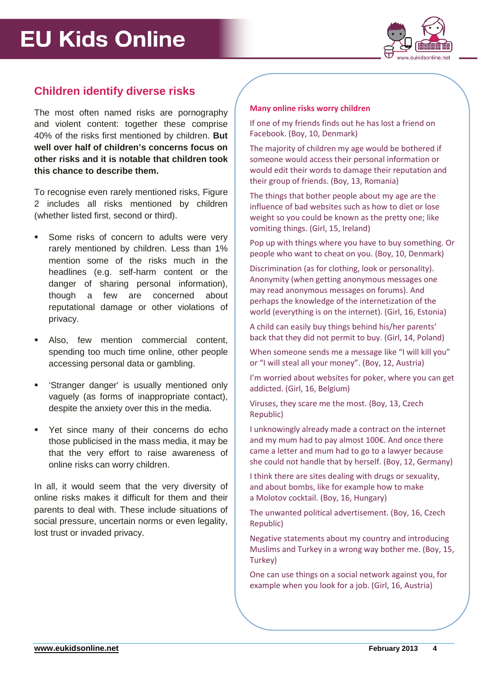

## **Children identify diverse risks**

The most often named risks are pornography and violent content: together these comprise 40% of the risks first mentioned by children. **But well over half of children's concerns focus on other risks and it is notable that children took this chance to describe them.**

To recognise even rarely mentioned risks, Figure 2 includes all risks mentioned by children (whether listed first, second or third).

- Some risks of concern to adults were very rarely mentioned by children. Less than 1% mention some of the risks much in the headlines (e.g. self-harm content or the danger of sharing personal information), though a few are concerned about reputational damage or other violations of privacy.
- Also, few mention commercial content, spending too much time online, other people accessing personal data or gambling.
- 'Stranger danger' is usually mentioned only vaguely (as forms of inappropriate contact), despite the anxiety over this in the media.
- Yet since many of their concerns do echo those publicised in the mass media, it may be that the very effort to raise awareness of online risks can worry children.

In all, it would seem that the very diversity of online risks makes it difficult for them and their parents to deal with. These include situations of social pressure, uncertain norms or even legality, lost trust or invaded privacy.

### **Many online risks worry children**

If one of my friends finds out he has lost a friend on Facebook. (Boy, 10, Denmark)

The majority of children my age would be bothered if someone would access their personal information or would edit their words to damage their reputation and their group of friends. (Boy, 13, Romania)

The things that bother people about my age are the influence of bad websites such as how to diet or lose weight so you could be known as the pretty one; like vomiting things. (Girl, 15, Ireland)

Pop up with things where you have to buy something. Or people who want to cheat on you. (Boy, 10, Denmark)

Discrimination (as for clothing, look or personality). Anonymity (when getting anonymous messages one may read anonymous messages on forums). And perhaps the knowledge of the internetization of the world (everything is on the internet). (Girl, 16, Estonia)

A child can easily buy things behind his/her parents' back that they did not permit to buy. (Girl, 14, Poland)

When someone sends me a message like "I will kill you" or "I will steal all your money". (Boy, 12, Austria)

I'm worried about websites for poker, where you can get addicted. (Girl, 16, Belgium)

Viruses, they scare me the most. (Boy, 13, Czech Republic)

I unknowingly already made a contract on the internet and my mum had to pay almost 100€. And once there came a letter and mum had to go to a lawyer because she could not handle that by herself. (Boy, 12, Germany)

I think there are sites dealing with drugs or sexuality, and about bombs, like for example how to make a Molotov cocktail. (Boy, 16, Hungary)

The unwanted political advertisement. (Boy, 16, Czech Republic)

Negative statements about my country and introducing Muslims and Turkey in a wrong way bother me. (Boy, 15, Turkey)

One can use things on a social network against you, for example when you look for a job. (Girl, 16, Austria)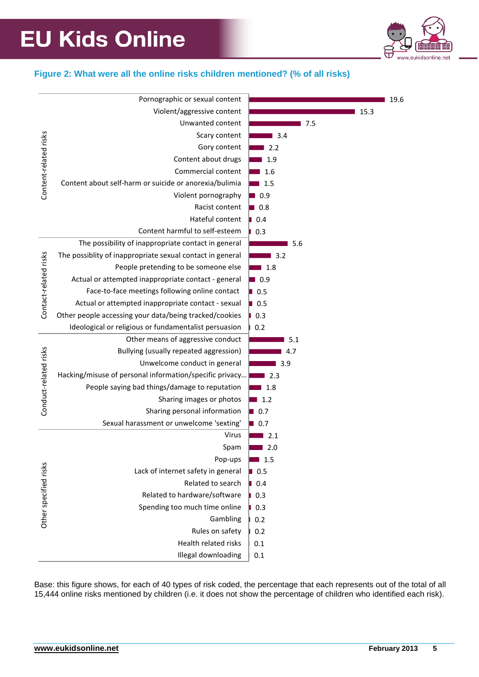

### **Figure 2: What were all the online risks children mentioned? (% of all risks)**

|                       | Pornographic or sexual content                            |                    | 19.6 |
|-----------------------|-----------------------------------------------------------|--------------------|------|
| Content-related risks | Violent/aggressive content                                |                    | 15.3 |
|                       | Unwanted content                                          | 7.5                |      |
|                       | Scary content                                             | 3.4                |      |
|                       | Gory content                                              | 2.2                |      |
|                       | Content about drugs                                       | 1.9                |      |
|                       | Commercial content                                        | 1.6                |      |
|                       | Content about self-harm or suicide or anorexia/bulimia    | 1.5                |      |
|                       | Violent pornography                                       | ■ 0.9              |      |
|                       | Racist content                                            | $\blacksquare$ 0.8 |      |
|                       | Hateful content                                           | 0.4                |      |
|                       | Content harmful to self-esteem                            | 0.3                |      |
| Contact-related risks | The possibility of inappropriate contact in general       | 5.6                |      |
|                       | The possiblity of inappropriate sexual contact in general | 3.2                |      |
|                       | People pretending to be someone else                      | 1.8                |      |
|                       | Actual or attempted inappropriate contact - general       | $\blacksquare$ 0.9 |      |
|                       | Face-to-face meetings following online contact            | $\blacksquare$ 0.5 |      |
|                       | Actual or attempted inappropriate contact - sexual        | $\blacksquare$ 0.5 |      |
|                       | Other people accessing your data/being tracked/cookies    | 0.3                |      |
|                       | Ideological or religious or fundamentalist persuasion     | 0.2                |      |
|                       | Other means of aggressive conduct                         | 5.1                |      |
|                       | Bullying (usually repeated aggression)                    | 4.7                |      |
|                       | Unwelcome conduct in general                              | 3.9                |      |
|                       | Hacking/misuse of personal information/specific privacy   | 2.3                |      |
| Conduct-related risks | People saying bad things/damage to reputation             | 1.8                |      |
|                       | Sharing images or photos                                  | 1.2                |      |
|                       | Sharing personal information                              | $\blacksquare$ 0.7 |      |
|                       | Sexual harassment or unwelcome 'sexting'                  | $\blacksquare$ 0.7 |      |
|                       | Virus                                                     | 2.1                |      |
|                       | Spam                                                      | 2.0                |      |
| Other specified risks | Pop-ups                                                   | 1.5                |      |
|                       | Lack of internet safety in general                        | $\blacksquare$ 0.5 |      |
|                       | Related to search                                         | $\blacksquare$ 0.4 |      |
|                       | Related to hardware/software                              | 0.3                |      |
|                       | Spending too much time online                             | 0.3                |      |
|                       | Gambling                                                  | 0.2                |      |
|                       | Rules on safety                                           | 0.2                |      |
|                       | Health related risks                                      | 0.1                |      |
|                       | Illegal downloading                                       | 0.1                |      |

Base: this figure shows, for each of 40 types of risk coded, the percentage that each represents out of the total of all 15,444 online risks mentioned by children (i.e. it does not show the percentage of children who identified each risk).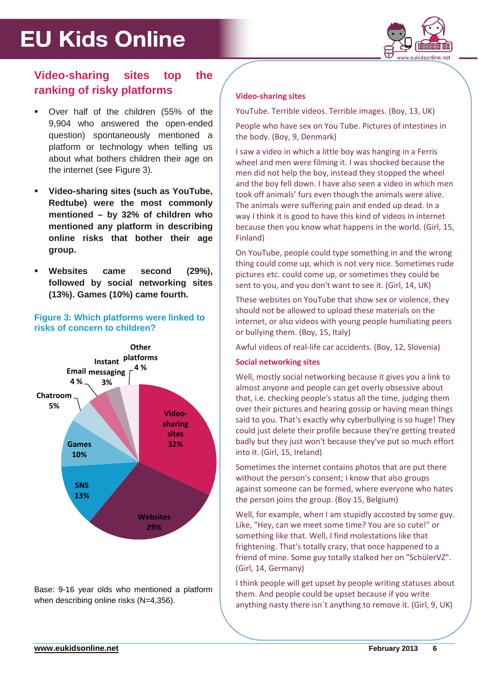

# **Video-sharing sites top the ranking of risky platforms**

- Over half of the children (55% of the 9,904 who answered the open-ended question) spontaneously mentioned a platform or technology when telling us about what bothers children their age on the internet (see Figure 3).
- **Video-sharing sites (such as YouTube, Redtube) were the most commonly mentioned – by 32% of children who mentioned any platform in describing online risks that bother their age group.**
- **Websites came second (29%), followed by social networking sites (13%). Games (10%) came fourth.**

### **Figure 3: Which platforms were linked to risks of concern to children?**



Base: 9-16 year olds who mentioned a platform when describing online risks (N=4,356).

### **Video-sharing sites**

YouTube. Terrible videos. Terrible images. (Boy, 13, UK)

People who have sex on You Tube. Pictures of intestines in the body. (Boy, 9, Denmark)

I saw a video in which a little boy was hanging in a Ferris wheel and men were filming it. I was shocked because the men did not help the boy, instead they stopped the wheel and the boy fell down. I have also seen a video in which men took off animals' furs even though the animals were alive. The animals were suffering pain and ended up dead. In a way I think it is good to have this kind of videos in internet because then you know what happens in the world. (Girl, 15, Finland)

On YouTube, people could type something in and the wrong thing could come up, which is not very nice. Sometimes rude pictures etc. could come up, or sometimes they could be sent to you, and you don't want to see it. (Girl, 14, UK)

These websites on YouTube that show sex or violence, they should not be allowed to upload these materials on the internet, or also videos with young people humiliating peers or bullying them. (Boy, 15, Italy)

Awful videos of real-life car accidents. (Boy, 12, Slovenia)

### **Social networking sites**

Well, mostly social networking because it gives you a link to almost anyone and people can get overly obsessive about that, i.e. checking people's status all the time, judging them over their pictures and hearing gossip or having mean things said to you. That's exactly why cyberbullying is so huge! They could just delete their profile because they're getting treated badly but they just won't because they've put so much effort into it. (Girl, 15, Ireland)

Sometimes the internet contains photos that are put there without the person's consent; I know that also groups against someone can be formed, where everyone who hates the person joins the group. (Boy 15, Belgium)

Well, for example, when I am stupidly accosted by some guy. Like, "Hey, can we meet some time? You are so cute!" or something like that. Well, I find molestations like that frightening. That's totally crazy, that once happened to a friend of mine. Some guy totally stalked her on "SchülerVZ". (Girl, 14, Germany)

I think people will get upset by people writing statuses about them. And people could be upset because if you write anything nasty there isn´t anything to remove it. (Girl, 9, UK)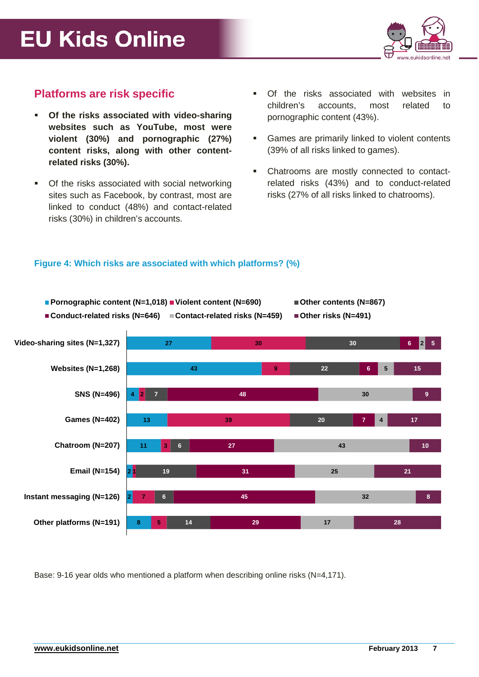

## **Platforms are risk specific**

- **Of the risks associated with video-sharing websites such as YouTube, most were violent (30%) and pornographic (27%) content risks, along with other contentrelated risks (30%).**
- Of the risks associated with social networking sites such as Facebook, by contrast, most are linked to conduct (48%) and contact-related risks (30%) in children's accounts.
- Of the risks associated with websites in children's accounts, most related to pornographic content (43%).
- Games are primarily linked to violent contents (39% of all risks linked to games).
- Chatrooms are mostly connected to contactrelated risks (43%) and to conduct-related risks (27% of all risks linked to chatrooms).

### **Figure 4: Which risks are associated with which platforms? (%)**



Base: 9-16 year olds who mentioned a platform when describing online risks (N=4,171).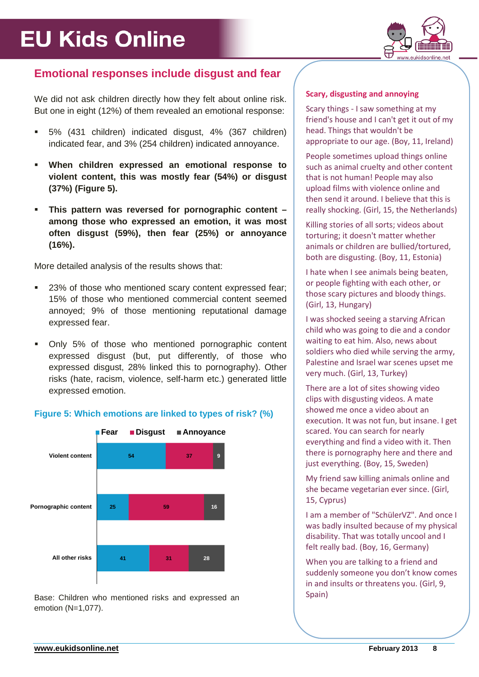

## **Emotional responses include disgust and fear**

We did not ask children directly how they felt about online risk. But one in eight (12%) of them revealed an emotional response:

- 5% (431 children) indicated disgust, 4% (367 children) indicated fear, and 3% (254 children) indicated annoyance.
- **When children expressed an emotional response to violent content, this was mostly fear (54%) or disgust (37%) (Figure 5).**
- **This pattern was reversed for pornographic content – among those who expressed an emotion, it was most often disgust (59%), then fear (25%) or annoyance (16%).**

More detailed analysis of the results shows that:

- <sup>23%</sup> of those who mentioned scary content expressed fear; 15% of those who mentioned commercial content seemed annoyed; 9% of those mentioning reputational damage expressed fear.
- Only 5% of those who mentioned pornographic content expressed disgust (but, put differently, of those who expressed disgust, 28% linked this to pornography). Other risks (hate, racism, violence, self-harm etc.) generated little expressed emotion.

### **Figure 5: Which emotions are linked to types of risk? (%)**



Base: Children who mentioned risks and expressed an emotion (N=1,077).

### **Scary, disgusting and annoying**

Scary things - I saw something at my friend's house and I can't get it out of my head. Things that wouldn't be appropriate to our age. (Boy, 11, Ireland)

People sometimes upload things online such as animal cruelty and other content that is not human! People may also upload films with violence online and then send it around. I believe that this is really shocking. (Girl, 15, the Netherlands)

Killing stories of all sorts; videos about torturing; it doesn't matter whether animals or children are bullied/tortured, both are disgusting. (Boy, 11, Estonia)

I hate when I see animals being beaten, or people fighting with each other, or those scary pictures and bloody things. (Girl, 13, Hungary)

I was shocked seeing a starving African child who was going to die and a condor waiting to eat him. Also, news about soldiers who died while serving the army, Palestine and Israel war scenes upset me very much. (Girl, 13, Turkey)

There are a lot of sites showing video clips with disgusting videos. A mate showed me once a video about an execution. It was not fun, but insane. I get scared. You can search for nearly everything and find a video with it. Then there is pornography here and there and just everything. (Boy, 15, Sweden)

My friend saw killing animals online and she became vegetarian ever since. (Girl, 15, Cyprus)

I am a member of "SchülerVZ". And once I was badly insulted because of my physical disability. That was totally uncool and I felt really bad. (Boy, 16, Germany)

When you are talking to a friend and suddenly someone you don't know comes in and insults or threatens you. (Girl, 9, Spain)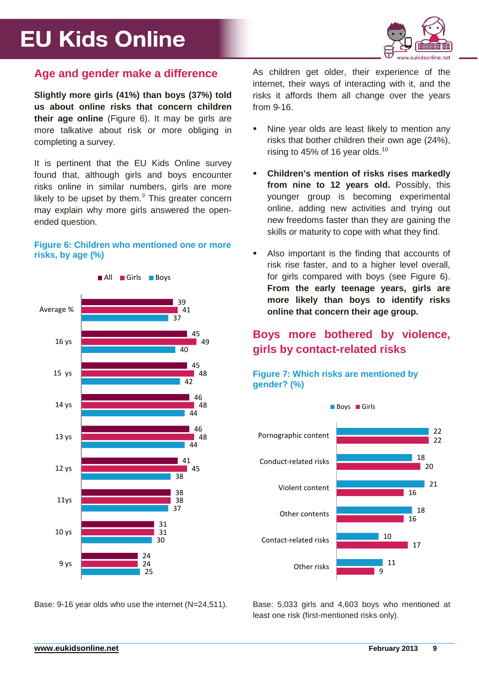

### **Age and gender make a difference**

**Slightly more girls (41%) than boys (37%) told us about online risks that concern children their age online** (Figure 6). It may be girls are more talkative about risk or more obliging in completing a survey.

It is pertinent that the EU Kids Online survey found that, although girls and boys encounter risks online in similar numbers, girls are more likely to be upset by them. $9$  This greater concern may explain why more girls answered the openended question.

### **Figure 6: Children who mentioned one or more risks, by age (%)**



Base: 9-16 year olds who use the internet (N=24,511).

As children get older, their experience of the internet, their ways of interacting with it, and the risks it affords them all change over the years from 9-16.

- Nine year olds are least likely to mention any risks that bother children their own age (24%), rising to 45% of 16 year olds. $10$
- **Children's mention of risks rises markedly from nine to 12 years old.** Possibly, this younger group is becoming experimental online, adding new activities and trying out new freedoms faster than they are gaining the skills or maturity to cope with what they find.
- Also important is the finding that accounts of risk rise faster, and to a higher level overall, for girls compared with boys (see Figure 6). **From the early teenage years, girls are more likely than boys to identify risks online that concern their age group.**

# **Boys more bothered by violence, girls by contact-related risks**

### **Figure 7: Which risks are mentioned by gender? (%)**



Base: 5,033 girls and 4,603 boys who mentioned at least one risk (first-mentioned risks only).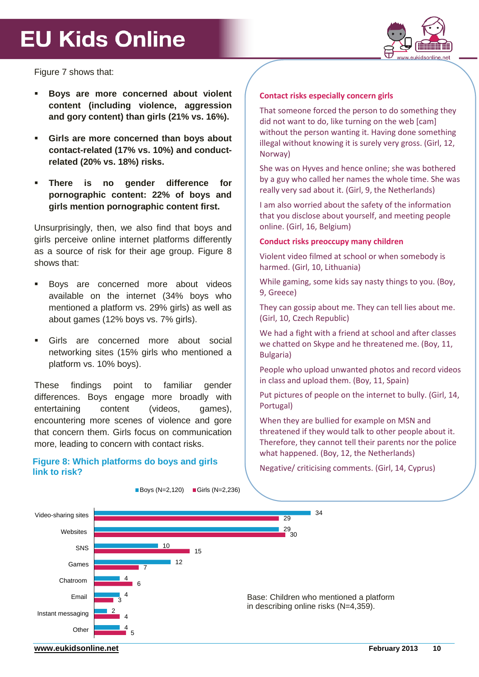

Figure 7 shows that:

- **Boys are more concerned about violent content (including violence, aggression and gory content) than girls (21% vs. 16%).**
- **Girls are more concerned than boys about contact-related (17% vs. 10%) and conductrelated (20% vs. 18%) risks.**
- **There is no gender difference for pornographic content: 22% of boys and girls mention pornographic content first.**

Unsurprisingly, then, we also find that boys and girls perceive online internet platforms differently as a source of risk for their age group. Figure 8 shows that:

- Boys are concerned more about videos available on the internet (34% boys who mentioned a platform vs. 29% girls) as well as about games (12% boys vs. 7% girls).
- Girls are concerned more about social networking sites (15% girls who mentioned a platform vs. 10% boys).

These findings point to familiar gender differences. Boys engage more broadly with entertaining content (videos, games), encountering more scenes of violence and gore that concern them. Girls focus on communication more, leading to concern with contact risks.

### **Figure 8: Which platforms do boys and girls link to risk?**

### **Contact risks especially concern girls**

That someone forced the person to do something they did not want to do, like turning on the web [cam] without the person wanting it. Having done something illegal without knowing it is surely very gross. (Girl, 12, Norway)

She was on Hyves and hence online; she was bothered by a guy who called her names the whole time. She was really very sad about it. (Girl, 9, the Netherlands)

I am also worried about the safety of the information that you disclose about yourself, and meeting people online. (Girl, 16, Belgium)

### **Conduct risks preoccupy many children**

Violent video filmed at school or when somebody is harmed. (Girl, 10, Lithuania)

While gaming, some kids say nasty things to you. (Boy, 9, Greece)

They can gossip about me. They can tell lies about me. (Girl, 10, Czech Republic)

We had a fight with a friend at school and after classes we chatted on Skype and he threatened me. (Boy, 11, Bulgaria)

People who upload unwanted photos and record videos in class and upload them. (Boy, 11, Spain)

Put pictures of people on the internet to bully. (Girl, 14, Portugal)

When they are bullied for example on MSN and threatened if they would talk to other people about it. Therefore, they cannot tell their parents nor the police what happened. (Boy, 12, the Netherlands)

Negative/ criticising comments. (Girl, 14, Cyprus)



 $\blacksquare$  Boys (N=2,120)  $\blacksquare$  Girls (N=2,236)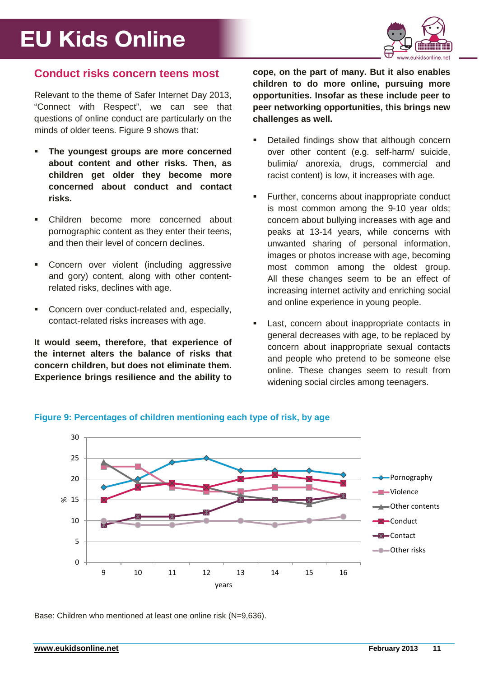

### **Conduct risks concern teens most**

Relevant to the theme of Safer Internet Day 2013, "Connect with Respect", we can see that questions of online conduct are particularly on the minds of older teens. Figure 9 shows that:

- **The youngest groups are more concerned about content and other risks. Then, as children get older they become more concerned about conduct and contact risks.**
- Children become more concerned about pornographic content as they enter their teens, and then their level of concern declines.
- Concern over violent (including aggressive and gory) content, along with other contentrelated risks, declines with age.
- Concern over conduct-related and, especially, contact-related risks increases with age.

**It would seem, therefore, that experience of the internet alters the balance of risks that concern children, but does not eliminate them. Experience brings resilience and the ability to** 

**cope, on the part of many. But it also enables children to do more online, pursuing more opportunities. Insofar as these include peer to peer networking opportunities, this brings new challenges as well.**

- Detailed findings show that although concern over other content (e.g. self-harm/ suicide, bulimia/ anorexia, drugs, commercial and racist content) is low, it increases with age.
- Further, concerns about inappropriate conduct is most common among the 9-10 year olds; concern about bullying increases with age and peaks at 13-14 years, while concerns with unwanted sharing of personal information, images or photos increase with age, becoming most common among the oldest group. All these changes seem to be an effect of increasing internet activity and enriching social and online experience in young people.
- Last, concern about inappropriate contacts in general decreases with age, to be replaced by concern about inappropriate sexual contacts and people who pretend to be someone else online. These changes seem to result from widening social circles among teenagers.



### **Figure 9: Percentages of children mentioning each type of risk, by age**

Base: Children who mentioned at least one online risk (N=9,636).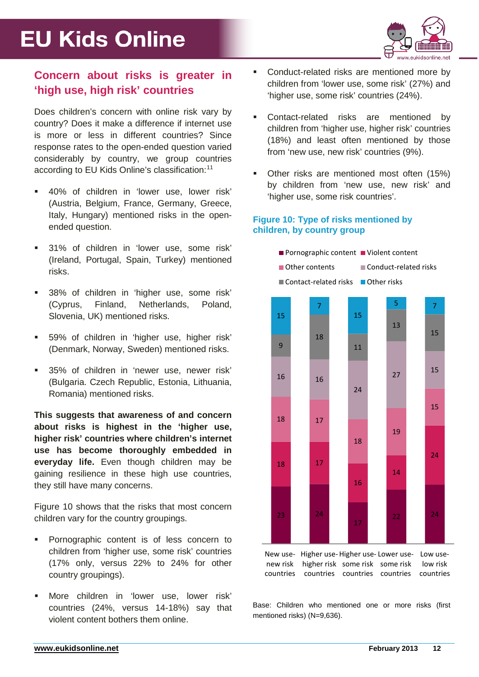

## **Concern about risks is greater in 'high use, high risk' countries**

Does children's concern with online risk vary by country? Does it make a difference if internet use is more or less in different countries? Since response rates to the open-ended question varied considerably by country, we group countries according to EU Kids Online's classification:<sup>[11](#page-19-4)</sup>

- 40% of children in 'lower use, lower risk' (Austria, Belgium, France, Germany, Greece, Italy, Hungary) mentioned risks in the openended question.
- 31% of children in 'lower use, some risk' (Ireland, Portugal, Spain, Turkey) mentioned risks.
- 38% of children in 'higher use, some risk' (Cyprus, Finland, Netherlands, Poland, Slovenia, UK) mentioned risks.
- 59% of children in 'higher use, higher risk' (Denmark, Norway, Sweden) mentioned risks.
- 35% of children in 'newer use, newer risk' (Bulgaria. Czech Republic, Estonia, Lithuania, Romania) mentioned risks.

**This suggests that awareness of and concern about risks is highest in the 'higher use, higher risk' countries where children's internet use has become thoroughly embedded in everyday life.** Even though children may be gaining resilience in these high use countries, they still have many concerns.

Figure 10 shows that the risks that most concern children vary for the country groupings.

- Pornographic content is of less concern to children from 'higher use, some risk' countries (17% only, versus 22% to 24% for other country groupings).
- More children in 'lower use, lower risk' countries (24%, versus 14-18%) say that violent content bothers them online.
- Conduct-related risks are mentioned more by children from 'lower use, some risk' (27%) and 'higher use, some risk' countries (24%).
- Contact-related risks are mentioned by children from 'higher use, higher risk' countries (18%) and least often mentioned by those from 'new use, new risk' countries (9%).
- Other risks are mentioned most often (15%) by children from 'new use, new risk' and 'higher use, some risk countries'.

### **Figure 10: Type of risks mentioned by children, by country group**



Base: Children who mentioned one or more risks (first mentioned risks) (N=9,636).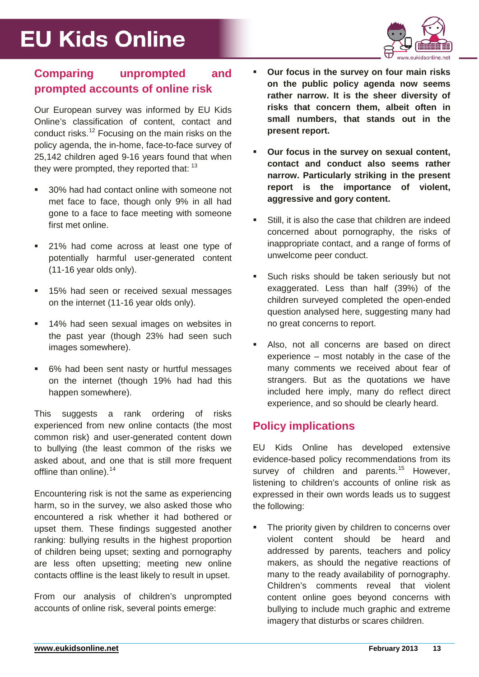

## **Comparing unprompted and prompted accounts of online risk**

Our European survey was informed by EU Kids Online's classification of content, contact and conduct risks.[12](#page-19-5) Focusing on the main risks on the policy agenda, the in-home, face-to-face survey of 25,142 children aged 9-16 years found that when they were prompted, they reported that: [13](#page-19-6)

- 30% had had contact online with someone not met face to face, though only 9% in all had gone to a face to face meeting with someone first met online.
- 21% had come across at least one type of potentially harmful user-generated content (11-16 year olds only).
- 15% had seen or received sexual messages on the internet (11-16 year olds only).
- **14% had seen sexual images on websites in** the past year (though 23% had seen such images somewhere).
- 6% had been sent nasty or hurtful messages on the internet (though 19% had had this happen somewhere).

This suggests a rank ordering of risks experienced from new online contacts (the most common risk) and user-generated content down to bullying (the least common of the risks we asked about, and one that is still more frequent offline than online).<sup>[14](#page-19-7)</sup>

Encountering risk is not the same as experiencing harm, so in the survey, we also asked those who encountered a risk whether it had bothered or upset them. These findings suggested another ranking: bullying results in the highest proportion of children being upset; sexting and pornography are less often upsetting; meeting new online contacts offline is the least likely to result in upset.

From our analysis of children's unprompted accounts of online risk, several points emerge:

- **Our focus in the survey on four main risks on the public policy agenda now seems rather narrow. It is the sheer diversity of risks that concern them, albeit often in small numbers, that stands out in the present report.**
- **Our focus in the survey on sexual content, contact and conduct also seems rather narrow. Particularly striking in the present report is the importance of violent, aggressive and gory content.**
- Still, it is also the case that children are indeed concerned about pornography, the risks of inappropriate contact, and a range of forms of unwelcome peer conduct.
- **Such risks should be taken seriously but not** exaggerated. Less than half (39%) of the children surveyed completed the open-ended question analysed here, suggesting many had no great concerns to report.
- Also, not all concerns are based on direct experience – most notably in the case of the many comments we received about fear of strangers. But as the quotations we have included here imply, many do reflect direct experience, and so should be clearly heard.

## **Policy implications**

EU Kids Online has developed extensive evidence-based policy recommendations from its survey of children and parents.<sup>[15](#page-19-8)</sup> However, listening to children's accounts of online risk as expressed in their own words leads us to suggest the following:

 The priority given by children to concerns over violent content should be heard and addressed by parents, teachers and policy makers, as should the negative reactions of many to the ready availability of pornography. Children's comments reveal that violent content online goes beyond concerns with bullying to include much graphic and extreme imagery that disturbs or scares children.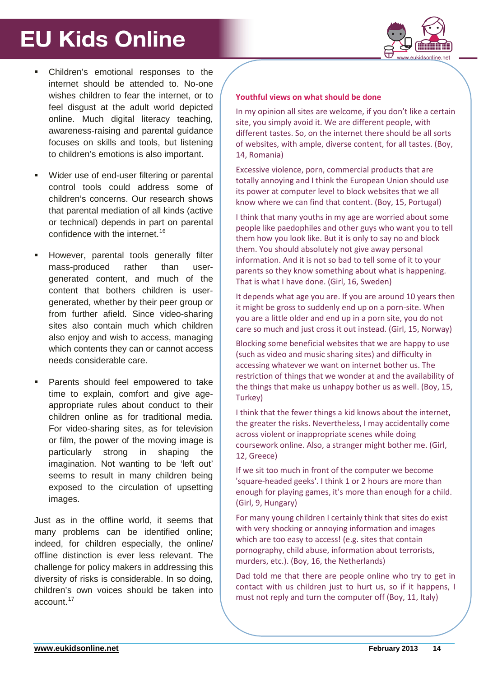

- Children's emotional responses to the internet should be attended to. No-one wishes children to fear the internet, or to feel disgust at the adult world depicted online. Much digital literacy teaching, awareness-raising and parental guidance focuses on skills and tools, but listening to children's emotions is also important.
- Wider use of end-user filtering or parental control tools could address some of children's concerns. Our research shows that parental mediation of all kinds (active or technical) depends in part on parental confidence with the internet.<sup>[16](#page-19-9)</sup>
- However, parental tools generally filter mass-produced rather than usergenerated content, and much of the content that bothers children is usergenerated, whether by their peer group or from further afield. Since video-sharing sites also contain much which children also enjoy and wish to access, managing which contents they can or cannot access needs considerable care.
- Parents should feel empowered to take time to explain, comfort and give ageappropriate rules about conduct to their children online as for traditional media. For video-sharing sites, as for television or film, the power of the moving image is particularly strong in shaping the imagination. Not wanting to be 'left out' seems to result in many children being exposed to the circulation of upsetting images.

Just as in the offline world, it seems that many problems can be identified online; indeed, for children especially, the online/ offline distinction is ever less relevant. The challenge for policy makers in addressing this diversity of risks is considerable. In so doing, children's own voices should be taken into account.[17](#page-19-10)

### **Youthful views on what should be done**

In my opinion all sites are welcome, if you don't like a certain site, you simply avoid it. We are different people, with different tastes. So, on the internet there should be all sorts of websites, with ample, diverse content, for all tastes. (Boy, 14, Romania)

Excessive violence, porn, commercial products that are totally annoying and I think the European Union should use its power at computer level to block websites that we all know where we can find that content. (Boy, 15, Portugal)

I think that many youths in my age are worried about some people like paedophiles and other guys who want you to tell them how you look like. But it is only to say no and block them. You should absolutely not give away personal information. And it is not so bad to tell some of it to your parents so they know something about what is happening. That is what I have done. (Girl, 16, Sweden)

It depends what age you are. If you are around 10 years then it might be gross to suddenly end up on a porn-site. When you are a little older and end up in a porn site, you do not care so much and just cross it out instead. (Girl, 15, Norway)

Blocking some beneficial websites that we are happy to use (such as video and music sharing sites) and difficulty in accessing whatever we want on internet bother us. The restriction of things that we wonder at and the availability of the things that make us unhappy bother us as well. (Boy, 15, Turkey)

I think that the fewer things a kid knows about the internet, the greater the risks. Nevertheless, I may accidentally come across violent or inappropriate scenes while doing coursework online. Also, a stranger might bother me. (Girl, 12, Greece)

If we sit too much in front of the computer we become 'square-headed geeks'. I think 1 or 2 hours are more than enough for playing games, it's more than enough for a child. (Girl, 9, Hungary)

For many young children I certainly think that sites do exist with very shocking or annoying information and images which are too easy to access! (e.g. sites that contain pornography, child abuse, information about terrorists, murders, etc.). (Boy, 16, the Netherlands)

Dad told me that there are people online who try to get in contact with us children just to hurt us, so if it happens, I must not reply and turn the computer off (Boy, 11, Italy)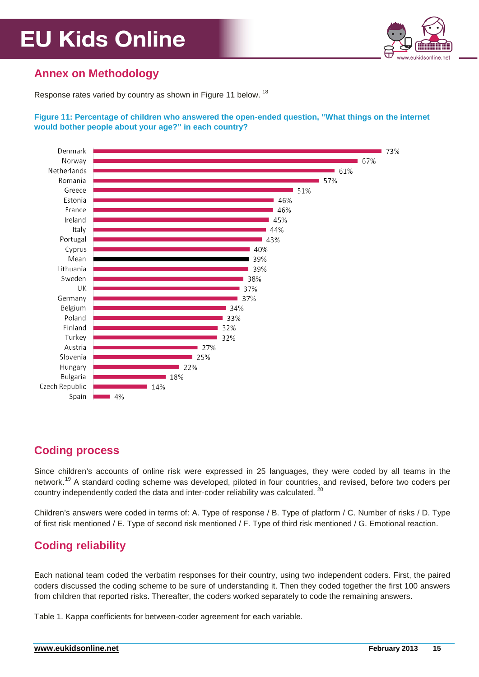

## **Annex on Methodology**

Response rates varied by country as shown in Figure 11 below. <sup>[18](#page-19-11)</sup>

### **Figure 11: Percentage of children who answered the open-ended question, "What things on the internet would bother people about your age?" in each country?**



# **Coding process**

Since children's accounts of online risk were expressed in 25 languages, they were coded by all teams in the network.<sup>[19](#page-19-12)</sup> A standard coding scheme was developed, piloted in four countries, and revised, before two coders per country independently coded the data and inter-coder reliability was calculated. <sup>[20](#page-19-13)</sup>

Children's answers were coded in terms of: A. Type of response / B. Type of platform / C. Number of risks / D. Type of first risk mentioned / E. Type of second risk mentioned / F. Type of third risk mentioned / G. Emotional reaction.

# **Coding reliability**

Each national team coded the verbatim responses for their country, using two independent coders. First, the paired coders discussed the coding scheme to be sure of understanding it. Then they coded together the first 100 answers from children that reported risks. Thereafter, the coders worked separately to code the remaining answers.

Table 1. Kappa coefficients for between-coder agreement for each variable.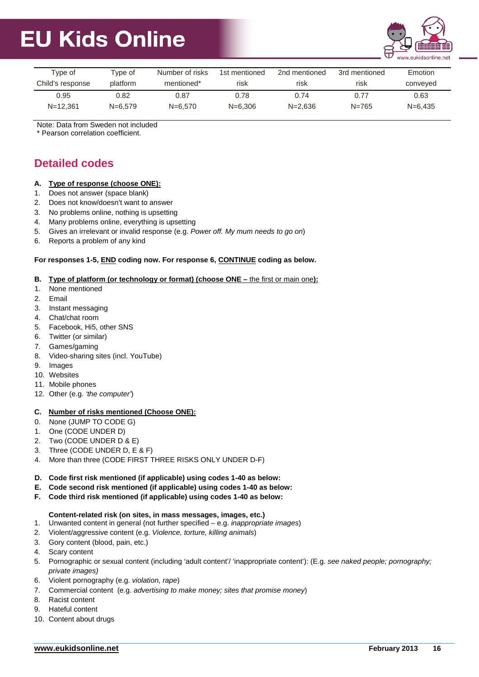

| Tvpe of          | Tvpe of     | Number of risks        | 1st mentioned | 2nd mentioned | 3rd mentioned | Emotion     |
|------------------|-------------|------------------------|---------------|---------------|---------------|-------------|
| Child's response | platform    | mentioned <sup>*</sup> | risk          | risk          | risk          | conveyed    |
| 0.95             | 0.82        | 0.87                   | 0.78          | 0.74          | 0.77          | 0.63        |
| $N = 12.361$     | $N = 6.579$ | $N = 6.570$            | $N = 6.306$   | $N = 2.636$   | $N = 765$     | $N = 6.435$ |

Note: Data from Sweden not included

\* Pearson correlation coefficient.

## **Detailed codes**

### **A. Type of response (choose ONE):**

- 1. Does not answer (space blank)
- 2. Does not know/doesn't want to answer
- 3. No problems online, nothing is upsetting
- 4. Many problems online, everything is upsetting
- 5. Gives an irrelevant or invalid response (e.g. *Power off. My mum needs to go on*)
- 6. Reports a problem of any kind

### **For responses 1-5, END coding now. For response 6, CONTINUE coding as below.**

### **B. Type of platform (or technology or format) (choose ONE –** the first or main one**):**

- 1. None mentioned
- 2. Email
- 3. Instant messaging
- 4. Chat/chat room
- 5. Facebook, Hi5, other SNS
- 6. Twitter (or similar)
- 7. Games/gaming
- 8. Video-sharing sites (incl. YouTube)
- 9. Images
- 10. Websites
- 11. Mobile phones
- 12. Other (e.g. *'the computer'*)

### **C. Number of risks mentioned (Choose ONE):**

- 0. None (JUMP TO CODE G)
- 1. One (CODE UNDER D)
- 2. Two (CODE UNDER D & E)
- 3. Three (CODE UNDER D, E & F)
- 4. More than three (CODE FIRST THREE RISKS ONLY UNDER D-F)

### **D. Code first risk mentioned (if applicable) using codes 1-40 as below:**

- **E. Code second risk mentioned (if applicable) using codes 1-40 as below:**
- **F. Code third risk mentioned (if applicable) using codes 1-40 as below:**

### **Content-related risk (on sites, in mass messages, images, etc.)**

- 1. Unwanted content in general (not further specified e.g. *inappropriate images*)
- 2. Violent/aggressive content (e.g. *Violence, torture, killing animals*)
- 3. Gory content (blood, pain, etc.)
- 4. Scary content
- 5. Pornographic or sexual content (including 'adult content'/ 'inappropriate content'): (E.g. *see naked people; pornography; private images)*
- 6. Violent pornography (e.g. *violation, rape*)
- 7. Commercial content (e.g. *advertising to make money; sites that promise money*)
- 8. Racist content
- 9. Hateful content
- 10. Content about drugs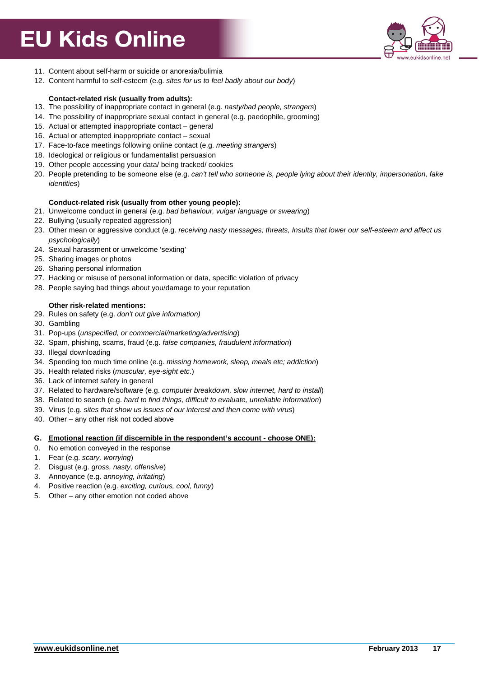

- 11. Content about self-harm or suicide or anorexia/bulimia
- 12. Content harmful to self-esteem (e.g. *sites for us to feel badly about our body*)

#### **Contact-related risk (usually from adults):**

- 13. The possibility of inappropriate contact in general (e.g. *nasty/bad people, strangers*)
- 14. The possibility of inappropriate sexual contact in general (e.g. paedophile, grooming)
- 15. Actual or attempted inappropriate contact general
- 16. Actual or attempted inappropriate contact sexual
- 17. Face-to-face meetings following online contact (e.g. *meeting strangers*)
- 18. Ideological or religious or fundamentalist persuasion
- 19. Other people accessing your data/ being tracked/ cookies
- 20. People pretending to be someone else (e.g. *can't tell who someone is, people lying about their identity, impersonation, fake identities*)

#### **Conduct-related risk (usually from other young people):**

- 21. Unwelcome conduct in general (e.g. *bad behaviour, vulgar language or swearing*)
- 22. Bullying (usually repeated aggression)
- 23. Other mean or aggressive conduct (e.g. *receiving nasty messages; threats, Insults that lower our self-esteem and affect us psychologically*)
- 24. Sexual harassment or unwelcome 'sexting'
- 25. Sharing images or photos
- 26. Sharing personal information
- 27. Hacking or misuse of personal information or data, specific violation of privacy
- 28. People saying bad things about you/damage to your reputation

### **Other risk-related mentions:**

- 29. Rules on safety (e.g. *don't out give information)*
- 30. Gambling
- 31. Pop-ups (*unspecified, or commercial/marketing/advertising*)
- 32. Spam, phishing, scams, fraud (e.g. *false companies, fraudulent information*)
- 33. Illegal downloading
- 34. Spending too much time online (e.g. *missing homework, sleep, meals etc; addiction*)
- 35. Health related risks (*muscular, eye-sight etc*.)
- 36. Lack of internet safety in general
- 37. Related to hardware/software (e.g. *computer brea*k*down, slow internet, hard to install*)
- 38. Related to search (e.g. *hard to find things, difficult to evaluate, unreliable information*)
- 39. Virus (e.g. *sites that show us issues of our interest and then come with virus*)
- 40. Other any other risk not coded above

#### **G. Emotional reaction (if discernible in the respondent's account - choose ONE):**

- 0. No emotion conveyed in the response
- 1. Fear (e.g. *scary, worrying*)
- 2. Disgust (e.g. *gross, nasty, offensive*)
- 3. Annoyance (e.g. *annoying, irritating*)
- 4. Positive reaction (e.g. *exciting, curious, cool, funny*)
- 5. Other any other emotion not coded above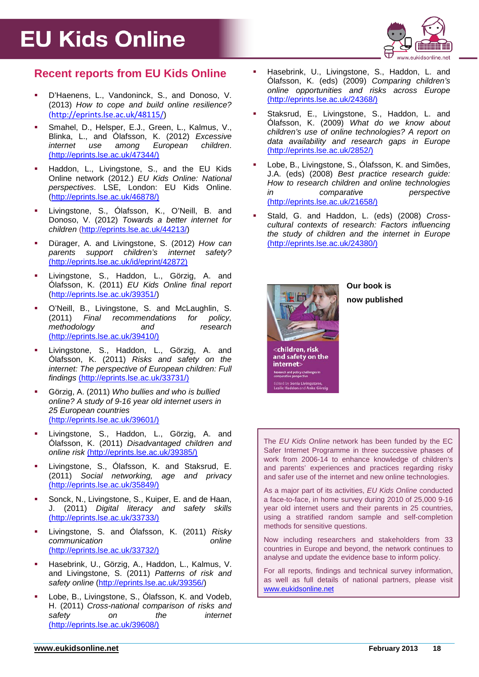

## **Recent reports from EU Kids Online**

- **•** D'Haenens, L., Vandoninck, S., and Donoso, V. (2013) *How to cope and build online resilience?* (<http://eprints.lse.ac.uk/48115/>)
- Smahel, D., Helsper, E.J., Green, L., Kalmus, V., Blinka, L., and Ólafsson, K. (2012) *Excessive internet use among* [\(http://eprints.lse.ac.uk/47344/\)](http://eprints.lse.ac.uk/47344/)
- **Haddon, L., Livingstone, S., and the EU Kids** Online network (2012.) *EU Kids Online: National perspectives*. LSE, London: EU Kids Online. [\(http://eprints.lse.ac.uk/46878/\)](http://eprints.lse.ac.uk/46878/)
- Livingstone, S., Ólafsson, K., O'Neill, B. and Donoso, V. (2012) *Towards a better internet for children* [\(http://eprints.lse.ac.uk/44213/\)](http://eprints.lse.ac.uk/44213/)
- Dürager, A. and Livingstone, S. (2012) *How can parents support children's internet safety?*  (http://eprints.lse.ac.uk/id/eprint/42872)
- Livingstone, S., Haddon, L., Görzig, A. and Ólafsson, K. (2011) *EU Kids Online final report*  [\(http://eprints.lse.ac.uk/39351/\)](http://eprints.lse.ac.uk/39351/)
- O'Neill, B., Livingstone, S. and McLaughlin, S. (2011) *Final recommendations for policy, methodology and research*  (http://eprints.lse.ac.uk/39410/)
- Livingstone, S., Haddon, L., Görzig, A. and Ólafsson, K. (2011) *Risks and safety on the internet: The perspective of European children: Full findings* (http://eprints.lse.ac.uk/33731/)
- Görzig, A. (2011) *Who bullies and who is bullied online? A study of 9-16 year old internet users in 25 European countries*  (http://eprints.lse.ac.uk/39601/)
- Livingstone, S., Haddon, L., Görzig, A. and Ólafsson, K. (2011) *Disadvantaged children and online risk* (http://eprints.lse.ac.uk/39385/)
- Livingstone, S., Ólafsson, K. and Staksrud, E. (2011) *Social networking, age and privacy* (http://eprints.lse.ac.uk/35849/)
- Sonck, N., Livingstone, S., Kuiper, E. and de Haan, J. (2011) *Digital literacy and safety skills*  (http://eprints.lse.ac.uk/33733/)
- Livingstone, S. and Ólafsson, K. (2011) *Risky communication online*  (http://eprints.lse.ac.uk/33732/)
- Hasebrink, U., Görzig, A., Haddon, L., Kalmus, V. and Livingstone, S. (2011) *Patterns of risk and safety online* [\(http://eprints.lse.ac.uk/39356/\)](http://eprints.lse.ac.uk/39356/)
- Lobe, B., Livingstone, S., Ólafsson, K. and Vodeb, H. (2011) *Cross-national comparison of risks and safety on the internet*  (http://eprints.lse.ac.uk/39608/)
- Hasebrink, U., Livingstone, S., Haddon, L. and Ólafsson, K. (eds) (2009) *Comparing children's online opportunities and risks across Europe* (http://eprints.lse.ac.uk/24368/)
- Staksrud, E., Livingstone, S., Haddon, L. and Ólafsson, K. (2009) *What do we know about children's use of online technologies? A report on data availability and research gaps in Europe* (http://eprints.lse.ac.uk/2852/)
- Lobe, B., Livingstone, S., Ólafsson, K. and Simões, J.A. (eds) (2008) *Best practice research guide: How to research children and onlin*e *technologies in comparative perspective* (http://eprints.lse.ac.uk/21658/)
- Stald, G. and Haddon, L. (eds) (2008) *Crosscultural contexts of research: Factors influencing the study of children and the internet in Europe*  (http://eprints.lse.ac.uk/24380/)



### **Our book is**

**now published**

The *EU Kids Online* network has been funded by the EC Safer Internet Programme in three successive phases of work from 2006-14 to enhance knowledge of children's and parents' experiences and practices regarding risky and safer use of the internet and new online technologies.

As a major part of its activities, *EU Kids Online* conducted a face-to-face, in home survey during 2010 of 25,000 9-16 year old internet users and their parents in 25 countries, using a stratified random sample and self-completion methods for sensitive questions.

Now including researchers and stakeholders from 33 countries in Europe and beyond, the network continues to analyse and update the evidence base to inform policy.

For all reports, findings and technical survey information, as well as full details of national partners, please visit [www.eukidsonline.net](http://www.eukidsonline.net/)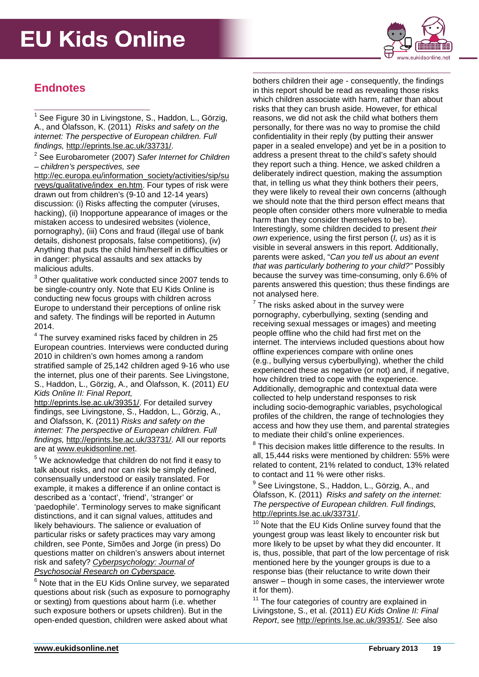

## **Endnotes**

<span id="page-18-0"></span><sup>1</sup> See Figure 30 in Livingstone, S., Haddon, L., Görzig, A., and Ólafsson, K. (2011) *Risks and safety on the internet: The perspective of European children. Full findings,* [http://eprints.lse.ac.uk/33731/.](http://eprints.lse.ac.uk/33731/)

<span id="page-18-1"></span><sup>2</sup> See Eurobarometer (2007) *Safer Internet for Children – children's perspectives, see* 

[http://ec.europa.eu/information\\_society/activities/sip/su](http://ec.europa.eu/information_society/activities/sip/surveys/qualitative/index_en.htm) [rveys/qualitative/index\\_en.htm.](http://ec.europa.eu/information_society/activities/sip/surveys/qualitative/index_en.htm) Four types of risk were drawn out from children's (9-10 and 12-14 years) discussion: (i) Risks affecting the computer (viruses, hacking), (ii) Inopportune appearance of images or the mistaken access to undesired websites (violence, pornography), (iii) Cons and fraud (illegal use of bank details, dishonest proposals, false competitions), (iv) Anything that puts the child him/herself in difficulties or in danger: physical assaults and sex attacks by malicious adults.

<span id="page-18-2"></span><sup>3</sup> Other qualitative work conducted since 2007 tends to be single-country only. Note that EU Kids Online is conducting new focus groups with children across Europe to understand their perceptions of online risk and safety. The findings will be reported in Autumn 2014.

<span id="page-18-3"></span><sup>4</sup> The survey examined risks faced by children in 25 European countries. Interviews were conducted during 2010 in children's own homes among a random stratified sample of 25,142 children aged 9-16 who use the internet, plus one of their parents. See Livingstone, S., Haddon, L., Görzig, A., and Ólafsson, K. (2011) *EU Kids Online II: Final Report,*

[http://eprints.lse.ac.uk/39351/.](http://eprints.lse.ac.uk/39351/) For detailed survey findings, see Livingstone, S., Haddon, L., Görzig, A., and Ólafsson, K. (2011) *Risks and safety on the internet: The perspective of European children. Full findings,* [http://eprints.lse.ac.uk/33731/.](http://eprints.lse.ac.uk/33731/) All our reports

<span id="page-18-4"></span>are at [www.eukidsonline.net.](http://www.eukidsonline.net/)<br><sup>5</sup> We acknowledge that children do not find it easy to talk about risks, and nor can risk be simply defined, consensually understood or easily translated. For example, it makes a difference if an online contact is described as a 'contact', 'friend', 'stranger' or 'paedophile'. Terminology serves to make significant distinctions, and it can signal values, attitudes and likely behaviours. The salience or evaluation of particular risks or safety practices may vary among children, see Ponte, Simões and Jorge (in press) Do questions matter on children's answers about internet risk and safety? *[Cyberpsychology: Journal of](http://www.cyberpsychology.eu/)  [Psychosocial Research on Cyberspace.](http://www.cyberpsychology.eu/)*

<span id="page-18-5"></span> $6$  Note that in the EU Kids Online survey, we separated questions about risk (such as exposure to pornography or sexting) from questions about harm (i.e. whether such exposure bothers or upsets children). But in the open-ended question, children were asked about what

bothers children their age - consequently, the findings in this report should be read as revealing those risks which children associate with harm, rather than about risks that they can brush aside. However, for ethical reasons, we did not ask the child what bothers them personally, for there was no way to promise the child confidentiality in their reply (by putting their answer paper in a sealed envelope) and yet be in a position to address a present threat to the child's safety should they report such a thing. Hence, we asked children a deliberately indirect question, making the assumption that, in telling us what they think bothers their peers, they were likely to reveal their own concerns (although we should note that the third person effect means that people often consider others more vulnerable to media harm than they consider themselves to be). Interestingly, some children decided to present *their own* experience, using the first person (*I, us*) as it is visible in several answers in this report. Additionally, parents were asked, "*Can you tell us about an event that was particularly bothering to your child?"* Possibly because the survey was time-consuming, only 6.6% of parents answered this question; thus these findings are not analysed here.

 $<sup>7</sup>$  The risks asked about in the survey were</sup> pornography, cyberbullying, sexting (sending and receiving sexual messages or images) and meeting people offline who the child had first met on the internet. The interviews included questions about how offline experiences compare with online ones (e.g., bullying versus cyberbullying), whether the child experienced these as negative (or not) and, if negative, how children tried to cope with the experience. Additionally, demographic and contextual data were collected to help understand responses to risk including socio-demographic variables, psychological profiles of the children, the range of technologies they access and how they use them, and parental strategies to mediate their child's online experiences.

 $8$  This decision makes little difference to the results. In all, 15,444 risks were mentioned by children: 55% were related to content, 21% related to conduct, 13% related to contact and 11 % were other risks.

See Livingstone, S., Haddon, L., Görzig, A., and Ólafsson, K. (2011) *Risks and safety on the internet: The perspective of European children. Full findings,*  [http://eprints.lse.ac.uk/33731/.](http://eprints.lse.ac.uk/33731/)

<sup>10</sup> Note that the EU Kids Online survey found that the youngest group was least likely to encounter risk but more likely to be upset by what they did encounter. It is, thus, possible, that part of the low percentage of risk mentioned here by the younger groups is due to a response bias (their reluctance to write down their answer – though in some cases, the interviewer wrote it for them).

<sup>11</sup> The four categories of country are explained in Livingstone, S., et al. (2011) *EU Kids Online II: Final Report*, see [http://eprints.lse.ac.uk/39351/.](http://eprints.lse.ac.uk/39351/) See also